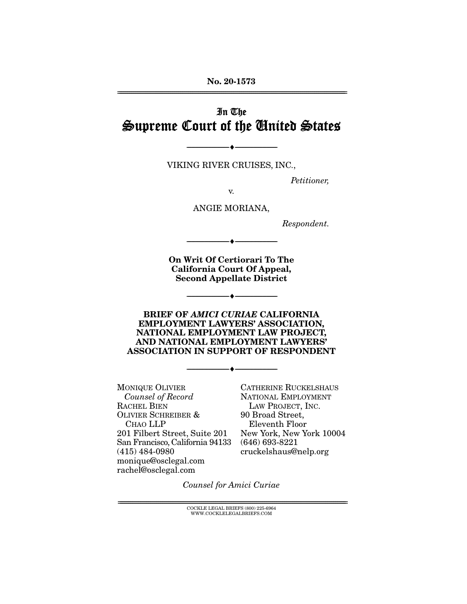**No. 20-1573**  ================================================================================================================

# In The Supreme Court of the United States

VIKING RIVER CRUISES, INC.,

--------------------------------- ♦ ---------------------------------

Petitioner,

v.

ANGIE MORIANA,

Respondent.

**On Writ Of Certiorari To The California Court Of Appeal, Second Appellate District** 

--------------------------------- ♦ ---------------------------------

--------------------------------- ♦ ---------------------------------

**BRIEF OF** *AMICI CURIAE* **CALIFORNIA EMPLOYMENT LAWYERS' ASSOCIATION, NATIONAL EMPLOYMENT LAW PROJECT, AND NATIONAL EMPLOYMENT LAWYERS' ASSOCIATION IN SUPPORT OF RESPONDENT** 

--------------------------------- ♦ ---------------------------------

MONIQUE OLIVIER Counsel of Record RACHEL BIEN OLIVIER SCHREIBER & CHAO LLP 201 Filbert Street, Suite 201 San Francisco, California 94133 (415) 484-0980 monique@osclegal.com rachel@osclegal.com

CATHERINE RUCKELSHAUS NATIONAL EMPLOYMENT LAW PROJECT, INC. 90 Broad Street, Eleventh Floor New York, New York 10004 (646) 693-8221 cruckelshaus@nelp.org

Counsel for Amici Curiae

 ${COCKLE}$  LEGAL BRIEFS (800) 225-6964 WWW.COCKLELEGALBRIEFS.COM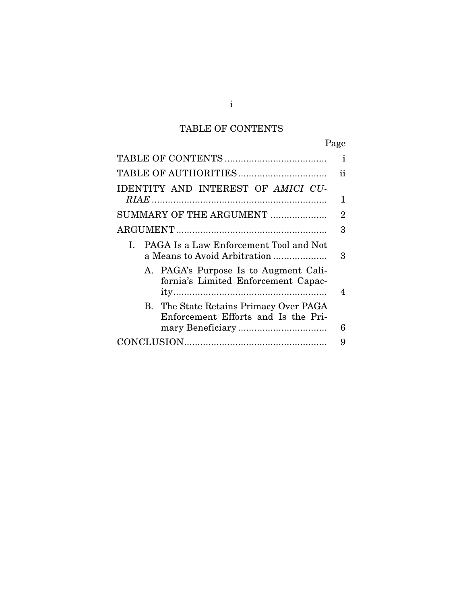# TABLE OF CONTENTS

|                                                                               | Page |
|-------------------------------------------------------------------------------|------|
|                                                                               | ı    |
|                                                                               | ii   |
| IDENTITY AND INTEREST OF AMICI CU-                                            |      |
|                                                                               | 1    |
| SUMMARY OF THE ARGUMENT                                                       | 2    |
|                                                                               | 3    |
| PAGA Is a Law Enforcement Tool and Not<br>L<br>a Means to Avoid Arbitration   | 3    |
| A. PAGA's Purpose Is to Augment Cali-<br>fornia's Limited Enforcement Capac-  | 4    |
| B. The State Retains Primacy Over PAGA<br>Enforcement Efforts and Is the Pri- | 6    |
|                                                                               | 9    |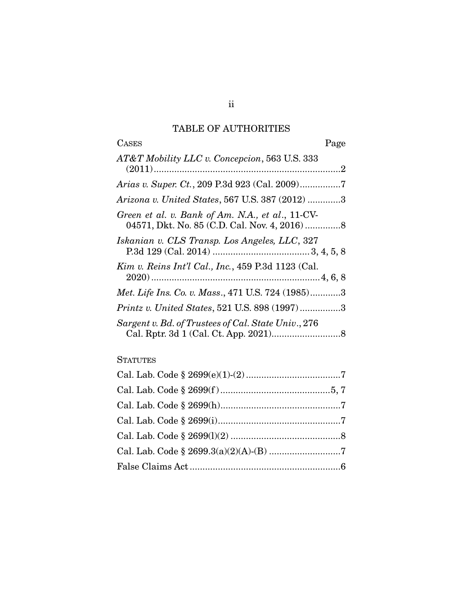## TABLE OF AUTHORITIES

| <b>CASES</b><br>Page                                |
|-----------------------------------------------------|
| AT&T Mobility LLC v. Concepcion, 563 U.S. 333       |
|                                                     |
| Arizona v. United States, 567 U.S. 387 (2012) 3     |
| Green et al. v. Bank of Am. N.A., et al., 11-CV-    |
| Iskanian v. CLS Transp. Los Angeles, LLC, 327       |
| Kim v. Reins Int'l Cal., Inc., 459 P.3d 1123 (Cal.  |
| Met. Life Ins. Co. v. Mass., 471 U.S. 724 (1985)3   |
| Printz v. United States, 521 U.S. 898 (1997)3       |
| Sargent v. Bd. of Trustees of Cal. State Univ., 276 |

## **STATUTES**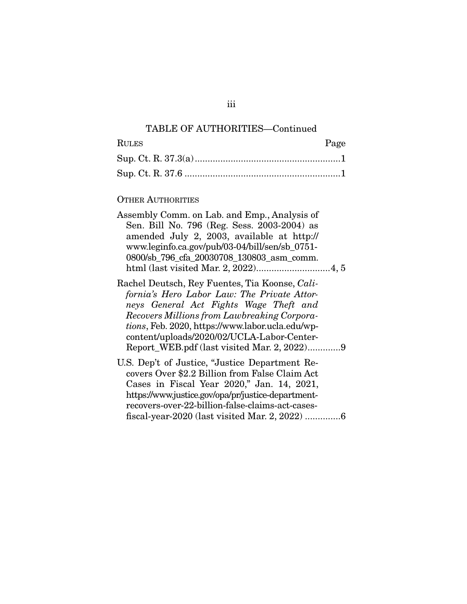## TABLE OF AUTHORITIES—Continued

| <b>RULES</b> | Page |
|--------------|------|
|              |      |
|              |      |

## OTHER AUTHORITIES

| Assembly Comm. on Lab. and Emp., Analysis of<br>Sen. Bill No. 796 (Reg. Sess. 2003-2004) as<br>amended July 2, 2003, available at http://<br>www.leginfo.ca.gov/pub/03-04/bill/sen/sb_0751-<br>0800/sb_796_cfa_20030708_130803_asm_comm.                                                                                                |
|-----------------------------------------------------------------------------------------------------------------------------------------------------------------------------------------------------------------------------------------------------------------------------------------------------------------------------------------|
|                                                                                                                                                                                                                                                                                                                                         |
| Rachel Deutsch, Rey Fuentes, Tia Koonse, Cali-<br>fornia's Hero Labor Law: The Private Attor-<br>neys General Act Fights Wage Theft and<br>Recovers Millions from Lawbreaking Corpora-<br>tions, Feb. 2020, https://www.labor.ucla.edu/wp-<br>content/uploads/2020/02/UCLA-Labor-Center-<br>Report_WEB.pdf (last visited Mar. 2, 2022)9 |
| U.S. Dep't of Justice, "Justice Department Re-<br>covers Over \$2.2 Billion from False Claim Act<br>Cases in Fiscal Year 2020," Jan. 14, 2021,<br>https://www.justice.gov/opa/pr/justice-department-<br>recovers-over-22-billion-false-claims-act-cases-                                                                                |
|                                                                                                                                                                                                                                                                                                                                         |

iii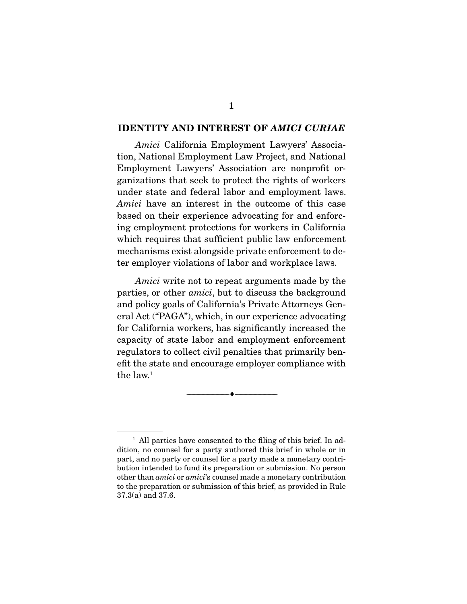#### **IDENTITY AND INTEREST OF** *AMICI CURIAE*

Amici California Employment Lawyers' Association, National Employment Law Project, and National Employment Lawyers' Association are nonprofit organizations that seek to protect the rights of workers under state and federal labor and employment laws. Amici have an interest in the outcome of this case based on their experience advocating for and enforcing employment protections for workers in California which requires that sufficient public law enforcement mechanisms exist alongside private enforcement to deter employer violations of labor and workplace laws.

Amici write not to repeat arguments made by the parties, or other amici, but to discuss the background and policy goals of California's Private Attorneys General Act ("PAGA"), which, in our experience advocating for California workers, has significantly increased the capacity of state labor and employment enforcement regulators to collect civil penalties that primarily benefit the state and encourage employer compliance with the law. $1$ 

--------------------------------- ♦ ---------------------------------

<sup>&</sup>lt;sup>1</sup> All parties have consented to the filing of this brief. In addition, no counsel for a party authored this brief in whole or in part, and no party or counsel for a party made a monetary contribution intended to fund its preparation or submission. No person other than amici or amici's counsel made a monetary contribution to the preparation or submission of this brief, as provided in Rule 37.3(a) and 37.6.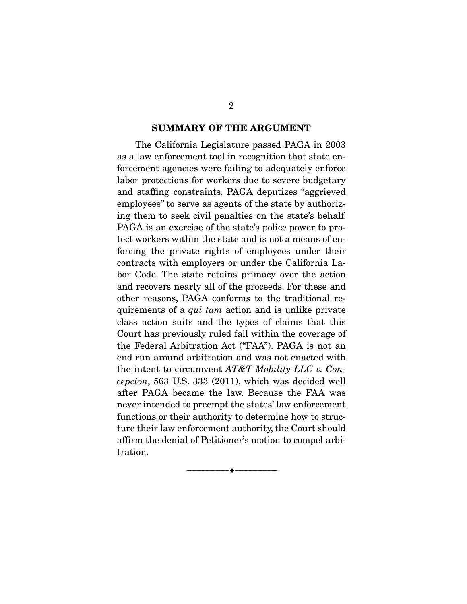#### **SUMMARY OF THE ARGUMENT**

 The California Legislature passed PAGA in 2003 as a law enforcement tool in recognition that state enforcement agencies were failing to adequately enforce labor protections for workers due to severe budgetary and staffing constraints. PAGA deputizes "aggrieved employees" to serve as agents of the state by authorizing them to seek civil penalties on the state's behalf. PAGA is an exercise of the state's police power to protect workers within the state and is not a means of enforcing the private rights of employees under their contracts with employers or under the California Labor Code. The state retains primacy over the action and recovers nearly all of the proceeds. For these and other reasons, PAGA conforms to the traditional requirements of a *qui tam* action and is unlike private class action suits and the types of claims that this Court has previously ruled fall within the coverage of the Federal Arbitration Act ("FAA"). PAGA is not an end run around arbitration and was not enacted with the intent to circumvent  $AT\&T$  Mobility LLC v. Concepcion, 563 U.S. 333 (2011), which was decided well after PAGA became the law. Because the FAA was never intended to preempt the states' law enforcement functions or their authority to determine how to structure their law enforcement authority, the Court should affirm the denial of Petitioner's motion to compel arbitration.

--------------------------------- ♦ ---------------------------------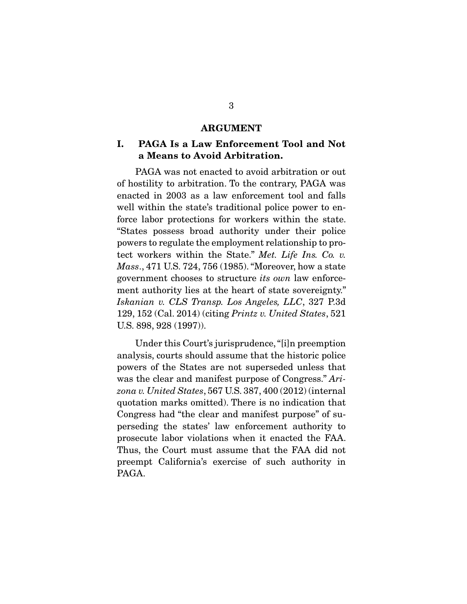#### **ARGUMENT**

### **I. PAGA Is a Law Enforcement Tool and Not a Means to Avoid Arbitration.**

 PAGA was not enacted to avoid arbitration or out of hostility to arbitration. To the contrary, PAGA was enacted in 2003 as a law enforcement tool and falls well within the state's traditional police power to enforce labor protections for workers within the state. "States possess broad authority under their police powers to regulate the employment relationship to protect workers within the State." Met. Life Ins. Co. v. Mass., 471 U.S. 724, 756 (1985). "Moreover, how a state government chooses to structure its own law enforcement authority lies at the heart of state sovereignty." Iskanian v. CLS Transp. Los Angeles, LLC, 327 P.3d 129, 152 (Cal. 2014) (citing Printz v. United States, 521 U.S. 898, 928 (1997)).

 Under this Court's jurisprudence, "[i]n preemption analysis, courts should assume that the historic police powers of the States are not superseded unless that was the clear and manifest purpose of Congress." Arizona v. United States, 567 U.S. 387, 400 (2012) (internal quotation marks omitted). There is no indication that Congress had "the clear and manifest purpose" of superseding the states' law enforcement authority to prosecute labor violations when it enacted the FAA. Thus, the Court must assume that the FAA did not preempt California's exercise of such authority in PAGA.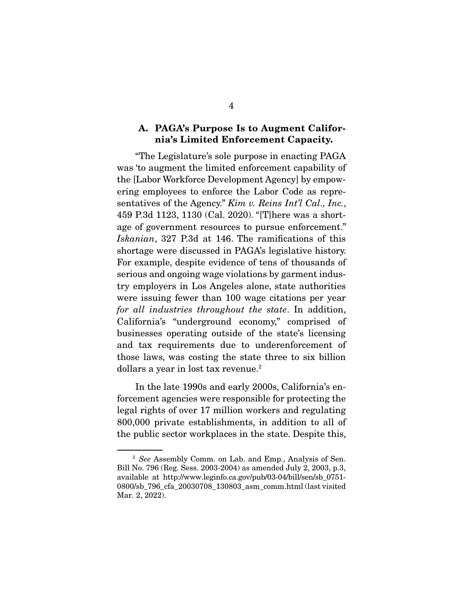### **A. PAGA's Purpose Is to Augment California's Limited Enforcement Capacity.**

 "The Legislature's sole purpose in enacting PAGA was 'to augment the limited enforcement capability of the [Labor Workforce Development Agency] by empowering employees to enforce the Labor Code as representatives of the Agency." Kim v. Reins Int'l Cal., Inc., 459 P.3d 1123, 1130 (Cal. 2020). "[T]here was a shortage of government resources to pursue enforcement." Iskanian, 327 P.3d at 146. The ramifications of this shortage were discussed in PAGA's legislative history. For example, despite evidence of tens of thousands of serious and ongoing wage violations by garment industry employers in Los Angeles alone, state authorities were issuing fewer than 100 wage citations per year for all industries throughout the state. In addition, California's "underground economy," comprised of businesses operating outside of the state's licensing and tax requirements due to underenforcement of those laws, was costing the state three to six billion dollars a year in lost tax revenue.2

 In the late 1990s and early 2000s, California's enforcement agencies were responsible for protecting the legal rights of over 17 million workers and regulating 800,000 private establishments, in addition to all of the public sector workplaces in the state. Despite this,

<sup>&</sup>lt;sup>2</sup> See Assembly Comm. on Lab. and Emp., Analysis of Sen. Bill No. 796 (Reg. Sess. 2003-2004) as amended July 2, 2003, p.3, available at http://www.leginfo.ca.gov/pub/03-04/bill/sen/sb\_0751- 0800/sb\_796\_cfa\_20030708\_130803\_asm\_comm.html (last visited Mar. 2, 2022).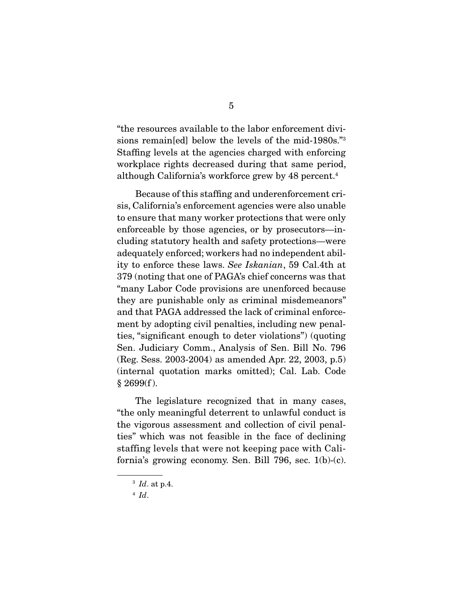"the resources available to the labor enforcement divisions remain[ed] below the levels of the mid-1980s."3 Staffing levels at the agencies charged with enforcing workplace rights decreased during that same period, although California's workforce grew by 48 percent.4

 Because of this staffing and underenforcement crisis, California's enforcement agencies were also unable to ensure that many worker protections that were only enforceable by those agencies, or by prosecutors—including statutory health and safety protections—were adequately enforced; workers had no independent ability to enforce these laws. See Iskanian, 59 Cal.4th at 379 (noting that one of PAGA's chief concerns was that "many Labor Code provisions are unenforced because they are punishable only as criminal misdemeanors" and that PAGA addressed the lack of criminal enforcement by adopting civil penalties, including new penalties, "significant enough to deter violations") (quoting Sen. Judiciary Comm., Analysis of Sen. Bill No. 796 (Reg. Sess. 2003-2004) as amended Apr. 22, 2003, p.5) (internal quotation marks omitted); Cal. Lab. Code  $§$  2699(f).

 The legislature recognized that in many cases, "the only meaningful deterrent to unlawful conduct is the vigorous assessment and collection of civil penalties" which was not feasible in the face of declining staffing levels that were not keeping pace with California's growing economy. Sen. Bill 796, sec. 1(b)-(c).

 $3$  Id. at p.4.

 $4$  Id.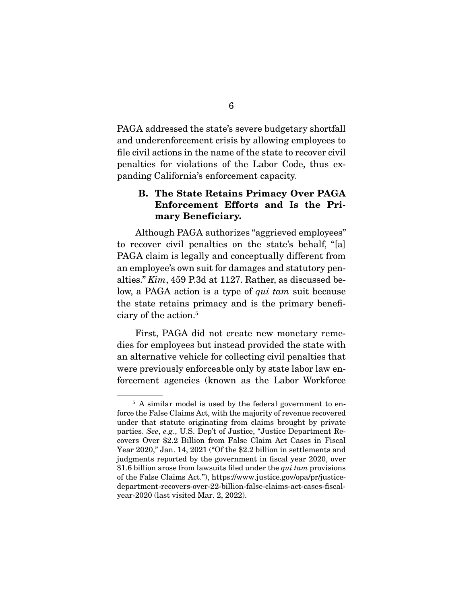PAGA addressed the state's severe budgetary shortfall and underenforcement crisis by allowing employees to file civil actions in the name of the state to recover civil penalties for violations of the Labor Code, thus expanding California's enforcement capacity.

## **B. The State Retains Primacy Over PAGA Enforcement Efforts and Is the Primary Beneficiary.**

 Although PAGA authorizes "aggrieved employees" to recover civil penalties on the state's behalf, "[a] PAGA claim is legally and conceptually different from an employee's own suit for damages and statutory penalties." Kim, 459 P.3d at 1127. Rather, as discussed below, a PAGA action is a type of *qui tam* suit because the state retains primacy and is the primary beneficiary of the action.5

 First, PAGA did not create new monetary remedies for employees but instead provided the state with an alternative vehicle for collecting civil penalties that were previously enforceable only by state labor law enforcement agencies (known as the Labor Workforce

<sup>&</sup>lt;sup>5</sup> A similar model is used by the federal government to enforce the False Claims Act, with the majority of revenue recovered under that statute originating from claims brought by private parties. See, e.g., U.S. Dep't of Justice, "Justice Department Recovers Over \$2.2 Billion from False Claim Act Cases in Fiscal Year 2020," Jan. 14, 2021 ("Of the \$2.2 billion in settlements and judgments reported by the government in fiscal year 2020, over \$1.6 billion arose from lawsuits filed under the *qui tam* provisions of the False Claims Act."), https://www.justice.gov/opa/pr/justicedepartment-recovers-over-22-billion-false-claims-act-cases-fiscalyear-2020 (last visited Mar. 2, 2022).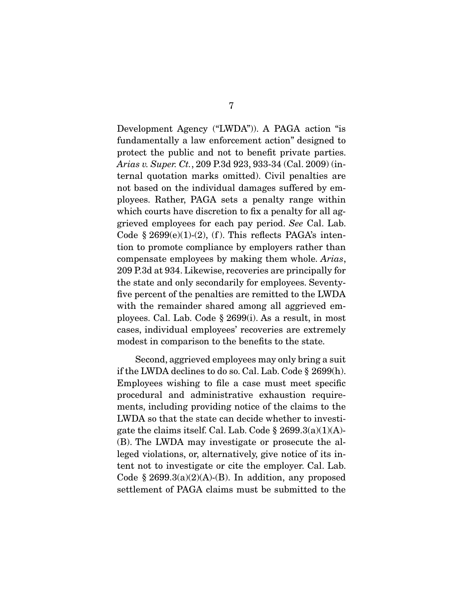Development Agency ("LWDA")). A PAGA action "is fundamentally a law enforcement action" designed to protect the public and not to benefit private parties. Arias v. Super. Ct., 209 P.3d 923, 933-34 (Cal. 2009) (internal quotation marks omitted). Civil penalties are not based on the individual damages suffered by employees. Rather, PAGA sets a penalty range within which courts have discretion to fix a penalty for all aggrieved employees for each pay period. See Cal. Lab. Code  $\S 2699(e)(1)-(2)$ , (f). This reflects PAGA's intention to promote compliance by employers rather than compensate employees by making them whole. Arias, 209 P.3d at 934. Likewise, recoveries are principally for the state and only secondarily for employees. Seventyfive percent of the penalties are remitted to the LWDA with the remainder shared among all aggrieved employees. Cal. Lab. Code § 2699(i). As a result, in most cases, individual employees' recoveries are extremely modest in comparison to the benefits to the state.

 Second, aggrieved employees may only bring a suit if the LWDA declines to do so. Cal. Lab. Code § 2699(h). Employees wishing to file a case must meet specific procedural and administrative exhaustion requirements, including providing notice of the claims to the LWDA so that the state can decide whether to investigate the claims itself. Cal. Lab. Code  $\S 2699.3(a)(1)(A)$ -(B). The LWDA may investigate or prosecute the alleged violations, or, alternatively, give notice of its intent not to investigate or cite the employer. Cal. Lab. Code  $\S 2699.3(a)(2)(A)-(B)$ . In addition, any proposed settlement of PAGA claims must be submitted to the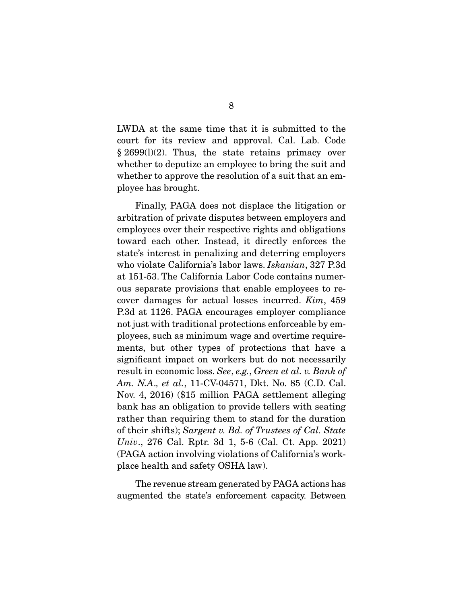LWDA at the same time that it is submitted to the court for its review and approval. Cal. Lab. Code § 2699(l)(2). Thus, the state retains primacy over whether to deputize an employee to bring the suit and whether to approve the resolution of a suit that an employee has brought.

 Finally, PAGA does not displace the litigation or arbitration of private disputes between employers and employees over their respective rights and obligations toward each other. Instead, it directly enforces the state's interest in penalizing and deterring employers who violate California's labor laws. Iskanian, 327 P.3d at 151-53. The California Labor Code contains numerous separate provisions that enable employees to recover damages for actual losses incurred. Kim, 459 P.3d at 1126. PAGA encourages employer compliance not just with traditional protections enforceable by employees, such as minimum wage and overtime requirements, but other types of protections that have a significant impact on workers but do not necessarily result in economic loss. See, e.g., Green et al. v. Bank of Am. N.A., et al., 11-CV-04571, Dkt. No. 85 (C.D. Cal. Nov. 4, 2016) (\$15 million PAGA settlement alleging bank has an obligation to provide tellers with seating rather than requiring them to stand for the duration of their shifts); Sargent v. Bd. of Trustees of Cal. State Univ., 276 Cal. Rptr. 3d 1, 5-6 (Cal. Ct. App. 2021) (PAGA action involving violations of California's workplace health and safety OSHA law).

 The revenue stream generated by PAGA actions has augmented the state's enforcement capacity. Between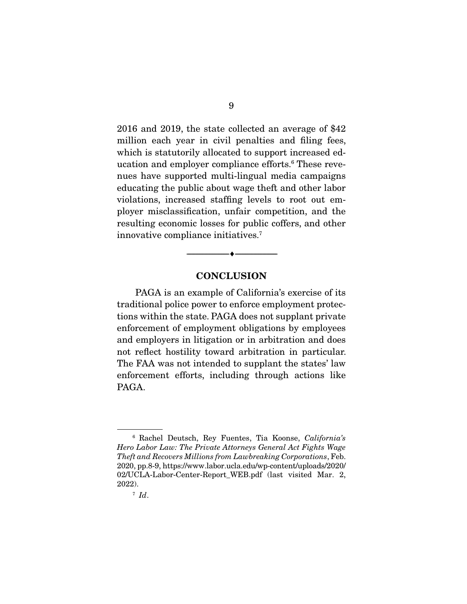2016 and 2019, the state collected an average of \$42 million each year in civil penalties and filing fees, which is statutorily allocated to support increased education and employer compliance efforts.<sup>6</sup> These revenues have supported multi-lingual media campaigns educating the public about wage theft and other labor violations, increased staffing levels to root out employer misclassification, unfair competition, and the resulting economic losses for public coffers, and other innovative compliance initiatives.7

#### **CONCLUSION**

--------------------------------- ♦ ---------------------------------

 PAGA is an example of California's exercise of its traditional police power to enforce employment protections within the state. PAGA does not supplant private enforcement of employment obligations by employees and employers in litigation or in arbitration and does not reflect hostility toward arbitration in particular. The FAA was not intended to supplant the states' law enforcement efforts, including through actions like PAGA.

<sup>6</sup> Rachel Deutsch, Rey Fuentes, Tia Koonse, California's Hero Labor Law: The Private Attorneys General Act Fights Wage Theft and Recovers Millions from Lawbreaking Corporations, Feb. 2020, pp.8-9, https://www.labor.ucla.edu/wp-content/uploads/2020/ 02/UCLA-Labor-Center-Report\_WEB.pdf (last visited Mar. 2, 2022).

 $^7$  Id.